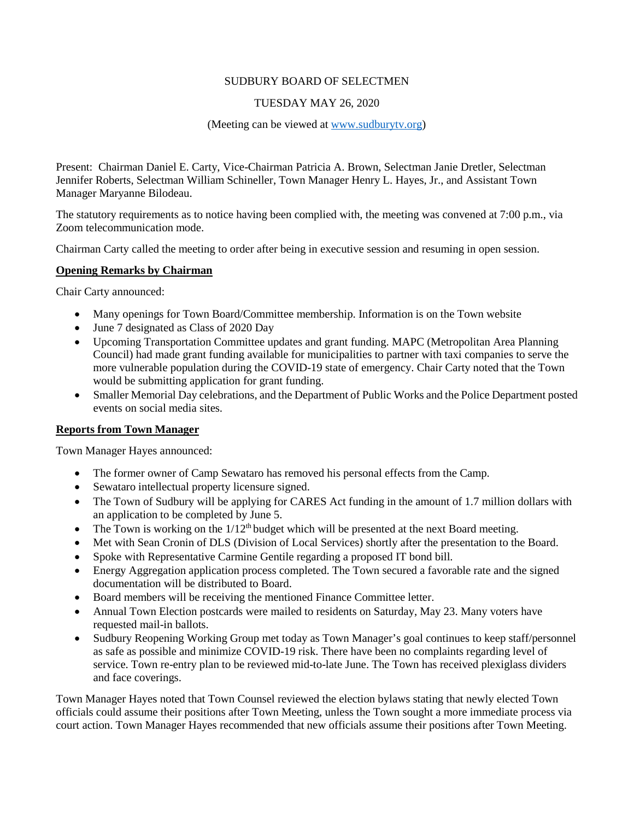## SUDBURY BOARD OF SELECTMEN

# TUESDAY MAY 26, 2020

#### (Meeting can be viewed at [www.sudburytv.org\)](http://www.sudburytv.org/)

Present: Chairman Daniel E. Carty, Vice-Chairman Patricia A. Brown, Selectman Janie Dretler, Selectman Jennifer Roberts, Selectman William Schineller, Town Manager Henry L. Hayes, Jr., and Assistant Town Manager Maryanne Bilodeau.

The statutory requirements as to notice having been complied with, the meeting was convened at 7:00 p.m., via Zoom telecommunication mode.

Chairman Carty called the meeting to order after being in executive session and resuming in open session.

## **Opening Remarks by Chairman**

Chair Carty announced:

- Many openings for Town Board/Committee membership. Information is on the Town website
- June 7 designated as Class of 2020 Day
- Upcoming Transportation Committee updates and grant funding. MAPC (Metropolitan Area Planning Council) had made grant funding available for municipalities to partner with taxi companies to serve the more vulnerable population during the COVID-19 state of emergency. Chair Carty noted that the Town would be submitting application for grant funding.
- Smaller Memorial Day celebrations, and the Department of Public Works and the Police Department posted events on social media sites.

## **Reports from Town Manager**

Town Manager Hayes announced:

- The former owner of Camp Sewataro has removed his personal effects from the Camp.
- Sewataro intellectual property licensure signed.
- The Town of Sudbury will be applying for CARES Act funding in the amount of 1.7 million dollars with an application to be completed by June 5.
- The Town is working on the  $1/12<sup>th</sup>$  budget which will be presented at the next Board meeting.
- Met with Sean Cronin of DLS (Division of Local Services) shortly after the presentation to the Board.
- Spoke with Representative Carmine Gentile regarding a proposed IT bond bill.
- Energy Aggregation application process completed. The Town secured a favorable rate and the signed documentation will be distributed to Board.
- Board members will be receiving the mentioned Finance Committee letter.
- Annual Town Election postcards were mailed to residents on Saturday, May 23. Many voters have requested mail-in ballots.
- Sudbury Reopening Working Group met today as Town Manager's goal continues to keep staff/personnel as safe as possible and minimize COVID-19 risk. There have been no complaints regarding level of service. Town re-entry plan to be reviewed mid-to-late June. The Town has received plexiglass dividers and face coverings.

Town Manager Hayes noted that Town Counsel reviewed the election bylaws stating that newly elected Town officials could assume their positions after Town Meeting, unless the Town sought a more immediate process via court action. Town Manager Hayes recommended that new officials assume their positions after Town Meeting.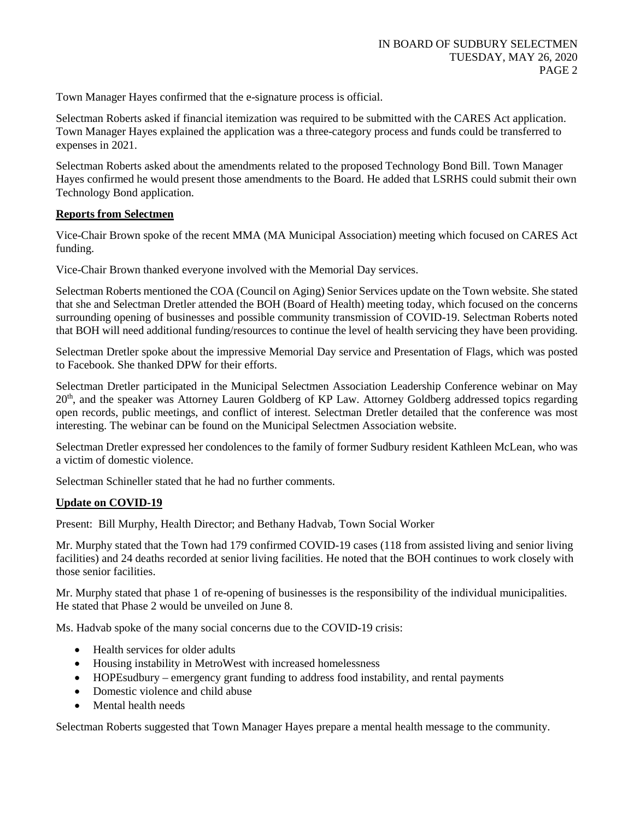Town Manager Hayes confirmed that the e-signature process is official.

Selectman Roberts asked if financial itemization was required to be submitted with the CARES Act application. Town Manager Hayes explained the application was a three-category process and funds could be transferred to expenses in 2021.

Selectman Roberts asked about the amendments related to the proposed Technology Bond Bill. Town Manager Hayes confirmed he would present those amendments to the Board. He added that LSRHS could submit their own Technology Bond application.

# **Reports from Selectmen**

Vice-Chair Brown spoke of the recent MMA (MA Municipal Association) meeting which focused on CARES Act funding.

Vice-Chair Brown thanked everyone involved with the Memorial Day services.

Selectman Roberts mentioned the COA (Council on Aging) Senior Services update on the Town website. She stated that she and Selectman Dretler attended the BOH (Board of Health) meeting today, which focused on the concerns surrounding opening of businesses and possible community transmission of COVID-19. Selectman Roberts noted that BOH will need additional funding/resources to continue the level of health servicing they have been providing.

Selectman Dretler spoke about the impressive Memorial Day service and Presentation of Flags, which was posted to Facebook. She thanked DPW for their efforts.

Selectman Dretler participated in the Municipal Selectmen Association Leadership Conference webinar on May 20th, and the speaker was Attorney Lauren Goldberg of KP Law. Attorney Goldberg addressed topics regarding open records, public meetings, and conflict of interest. Selectman Dretler detailed that the conference was most interesting. The webinar can be found on the Municipal Selectmen Association website.

Selectman Dretler expressed her condolences to the family of former Sudbury resident Kathleen McLean, who was a victim of domestic violence.

Selectman Schineller stated that he had no further comments.

# **Update on COVID-19**

Present: Bill Murphy, Health Director; and Bethany Hadvab, Town Social Worker

Mr. Murphy stated that the Town had 179 confirmed COVID-19 cases (118 from assisted living and senior living facilities) and 24 deaths recorded at senior living facilities. He noted that the BOH continues to work closely with those senior facilities.

Mr. Murphy stated that phase 1 of re-opening of businesses is the responsibility of the individual municipalities. He stated that Phase 2 would be unveiled on June 8.

Ms. Hadvab spoke of the many social concerns due to the COVID-19 crisis:

- Health services for older adults
- Housing instability in MetroWest with increased homelessness
- HOPEsudbury emergency grant funding to address food instability, and rental payments
- Domestic violence and child abuse
- Mental health needs

Selectman Roberts suggested that Town Manager Hayes prepare a mental health message to the community.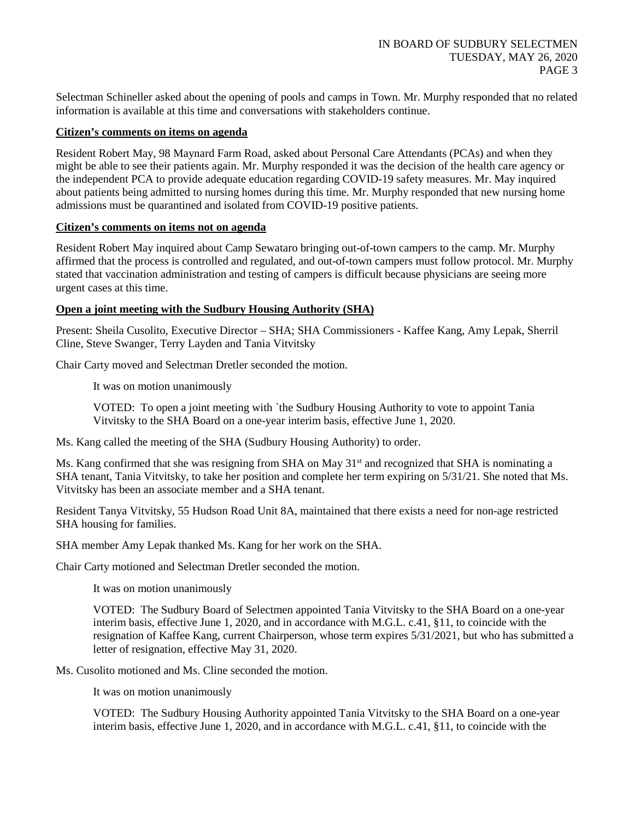Selectman Schineller asked about the opening of pools and camps in Town. Mr. Murphy responded that no related information is available at this time and conversations with stakeholders continue.

#### **Citizen's comments on items on agenda**

Resident Robert May, 98 Maynard Farm Road, asked about Personal Care Attendants (PCAs) and when they might be able to see their patients again. Mr. Murphy responded it was the decision of the health care agency or the independent PCA to provide adequate education regarding COVID-19 safety measures. Mr. May inquired about patients being admitted to nursing homes during this time. Mr. Murphy responded that new nursing home admissions must be quarantined and isolated from COVID-19 positive patients.

#### **Citizen's comments on items not on agenda**

Resident Robert May inquired about Camp Sewataro bringing out-of-town campers to the camp. Mr. Murphy affirmed that the process is controlled and regulated, and out-of-town campers must follow protocol. Mr. Murphy stated that vaccination administration and testing of campers is difficult because physicians are seeing more urgent cases at this time.

## **Open a joint meeting with the Sudbury Housing Authority (SHA)**

Present: Sheila Cusolito, Executive Director – SHA; SHA Commissioners - Kaffee Kang, Amy Lepak, Sherril Cline, Steve Swanger, Terry Layden and Tania Vitvitsky

Chair Carty moved and Selectman Dretler seconded the motion.

It was on motion unanimously

VOTED: To open a joint meeting with `the Sudbury Housing Authority to vote to appoint Tania Vitvitsky to the SHA Board on a one-year interim basis, effective June 1, 2020.

Ms. Kang called the meeting of the SHA (Sudbury Housing Authority) to order.

Ms. Kang confirmed that she was resigning from SHA on May 31<sup>st</sup> and recognized that SHA is nominating a SHA tenant, Tania Vitvitsky, to take her position and complete her term expiring on 5/31/21. She noted that Ms. Vitvitsky has been an associate member and a SHA tenant.

Resident Tanya Vitvitsky, 55 Hudson Road Unit 8A, maintained that there exists a need for non-age restricted SHA housing for families.

SHA member Amy Lepak thanked Ms. Kang for her work on the SHA.

Chair Carty motioned and Selectman Dretler seconded the motion.

It was on motion unanimously

VOTED: The Sudbury Board of Selectmen appointed Tania Vitvitsky to the SHA Board on a one-year interim basis, effective June 1, 2020, and in accordance with M.G.L. c.41, §11, to coincide with the resignation of Kaffee Kang, current Chairperson, whose term expires 5/31/2021, but who has submitted a letter of resignation, effective May 31, 2020.

Ms. Cusolito motioned and Ms. Cline seconded the motion.

It was on motion unanimously

VOTED: The Sudbury Housing Authority appointed Tania Vitvitsky to the SHA Board on a one-year interim basis, effective June 1, 2020, and in accordance with M.G.L. c.41, §11, to coincide with the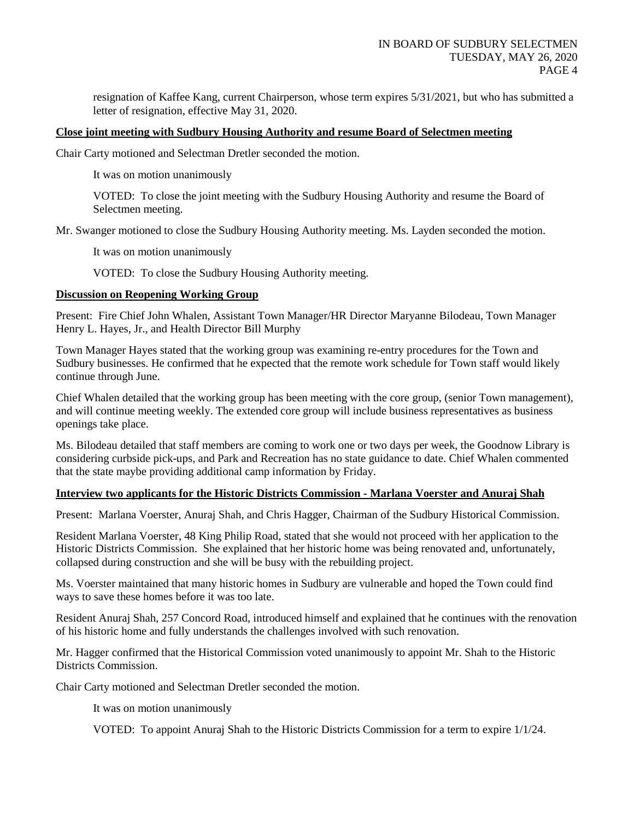resignation of Kaffee Kang, current Chairperson, whose term expires 5/31/2021, but who has submitted a letter of resignation, effective May 31, 2020.

#### **Close joint meeting with Sudbury Housing Authority and resume Board of Selectmen meeting**

Chair Carty motioned and Selectman Dretler seconded the motion.

It was on motion unanimously

VOTED: To close the joint meeting with the Sudbury Housing Authority and resume the Board of Selectmen meeting.

Mr. Swanger motioned to close the Sudbury Housing Authority meeting. Ms. Layden seconded the motion.

It was on motion unanimously

VOTED: To close the Sudbury Housing Authority meeting.

#### **Discussion on Reopening Working Group**

Present: Fire Chief John Whalen, Assistant Town Manager/HR Director Maryanne Bilodeau, Town Manager Henry L. Hayes, Jr., and Health Director Bill Murphy

Town Manager Hayes stated that the working group was examining re-entry procedures for the Town and Sudbury businesses. He confirmed that he expected that the remote work schedule for Town staff would likely continue through June.

Chief Whalen detailed that the working group has been meeting with the core group, (senior Town management), and will continue meeting weekly. The extended core group will include business representatives as business openings take place.

Ms. Bilodeau detailed that staff members are coming to work one or two days per week, the Goodnow Library is considering curbside pick-ups, and Park and Recreation has no state guidance to date. Chief Whalen commented that the state maybe providing additional camp information by Friday.

#### **Interview two applicants for the Historic Districts Commission - Marlana Voerster and Anuraj Shah**

Present: Marlana Voerster, Anuraj Shah, and Chris Hagger, Chairman of the Sudbury Historical Commission.

Resident Marlana Voerster, 48 King Philip Road, stated that she would not proceed with her application to the Historic Districts Commission. She explained that her historic home was being renovated and, unfortunately, collapsed during construction and she will be busy with the rebuilding project.

Ms. Voerster maintained that many historic homes in Sudbury are vulnerable and hoped the Town could find ways to save these homes before it was too late.

Resident Anuraj Shah, 257 Concord Road, introduced himself and explained that he continues with the renovation of his historic home and fully understands the challenges involved with such renovation.

Mr. Hagger confirmed that the Historical Commission voted unanimously to appoint Mr. Shah to the Historic Districts Commission.

Chair Carty motioned and Selectman Dretler seconded the motion.

It was on motion unanimously

VOTED: To appoint Anuraj Shah to the Historic Districts Commission for a term to expire 1/1/24.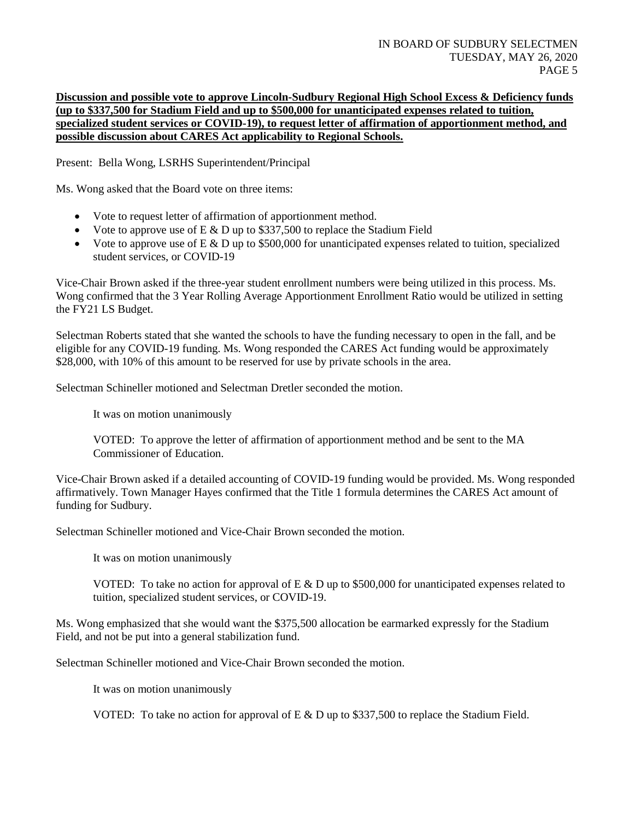# **Discussion and possible vote to approve Lincoln-Sudbury Regional High School Excess & Deficiency funds (up to \$337,500 for Stadium Field and up to \$500,000 for unanticipated expenses related to tuition, specialized student services or COVID-19), to request letter of affirmation of apportionment method, and possible discussion about CARES Act applicability to Regional Schools.**

Present: Bella Wong, LSRHS Superintendent/Principal

Ms. Wong asked that the Board vote on three items:

- Vote to request letter of affirmation of apportionment method.
- Vote to approve use of  $E \& D$  up to \$337,500 to replace the Stadium Field
- Vote to approve use of  $E \& D$  up to \$500,000 for unanticipated expenses related to tuition, specialized student services, or COVID-19

Vice-Chair Brown asked if the three-year student enrollment numbers were being utilized in this process. Ms. Wong confirmed that the 3 Year Rolling Average Apportionment Enrollment Ratio would be utilized in setting the FY21 LS Budget.

Selectman Roberts stated that she wanted the schools to have the funding necessary to open in the fall, and be eligible for any COVID-19 funding. Ms. Wong responded the CARES Act funding would be approximately \$28,000, with 10% of this amount to be reserved for use by private schools in the area.

Selectman Schineller motioned and Selectman Dretler seconded the motion.

It was on motion unanimously

VOTED: To approve the letter of affirmation of apportionment method and be sent to the MA Commissioner of Education.

Vice-Chair Brown asked if a detailed accounting of COVID-19 funding would be provided. Ms. Wong responded affirmatively. Town Manager Hayes confirmed that the Title 1 formula determines the CARES Act amount of funding for Sudbury.

Selectman Schineller motioned and Vice-Chair Brown seconded the motion.

It was on motion unanimously

VOTED: To take no action for approval of E  $\&$  D up to \$500,000 for unanticipated expenses related to tuition, specialized student services, or COVID-19.

Ms. Wong emphasized that she would want the \$375,500 allocation be earmarked expressly for the Stadium Field, and not be put into a general stabilization fund.

Selectman Schineller motioned and Vice-Chair Brown seconded the motion.

It was on motion unanimously

VOTED: To take no action for approval of  $E \& D$  up to \$337,500 to replace the Stadium Field.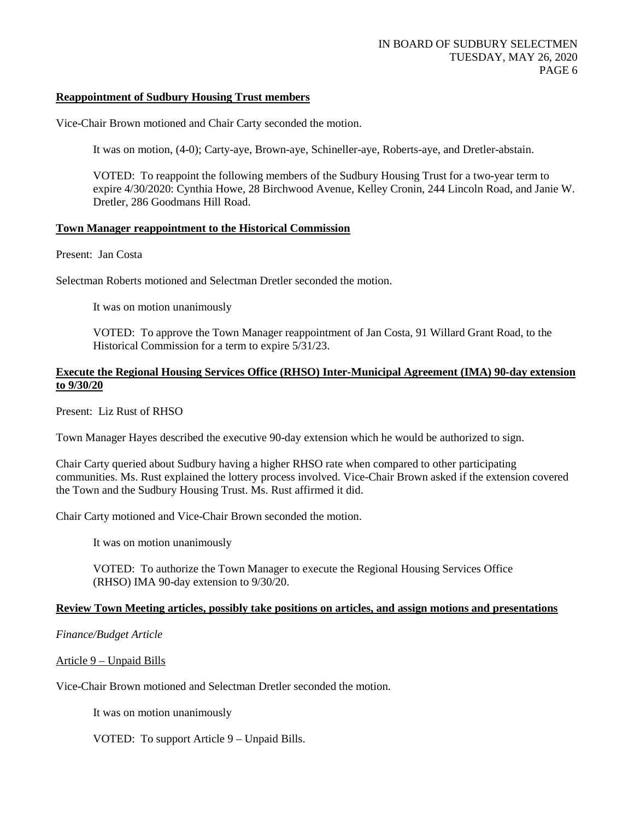#### **Reappointment of Sudbury Housing Trust members**

Vice-Chair Brown motioned and Chair Carty seconded the motion.

It was on motion, (4-0); Carty-aye, Brown-aye, Schineller-aye, Roberts-aye, and Dretler-abstain.

VOTED: To reappoint the following members of the Sudbury Housing Trust for a two-year term to expire 4/30/2020: Cynthia Howe, 28 Birchwood Avenue, Kelley Cronin, 244 Lincoln Road, and Janie W. Dretler, 286 Goodmans Hill Road.

#### **Town Manager reappointment to the Historical Commission**

Present: Jan Costa

Selectman Roberts motioned and Selectman Dretler seconded the motion.

It was on motion unanimously

VOTED: To approve the Town Manager reappointment of Jan Costa, 91 Willard Grant Road, to the Historical Commission for a term to expire 5/31/23.

#### **Execute the Regional Housing Services Office (RHSO) Inter-Municipal Agreement (IMA) 90-day extension to 9/30/20**

Present: Liz Rust of RHSO

Town Manager Hayes described the executive 90-day extension which he would be authorized to sign.

Chair Carty queried about Sudbury having a higher RHSO rate when compared to other participating communities. Ms. Rust explained the lottery process involved. Vice-Chair Brown asked if the extension covered the Town and the Sudbury Housing Trust. Ms. Rust affirmed it did.

Chair Carty motioned and Vice-Chair Brown seconded the motion.

It was on motion unanimously

VOTED: To authorize the Town Manager to execute the Regional Housing Services Office (RHSO) IMA 90-day extension to 9/30/20.

## **Review Town Meeting articles, possibly take positions on articles, and assign motions and presentations**

## *Finance/Budget Article*

Article 9 – Unpaid Bills

Vice-Chair Brown motioned and Selectman Dretler seconded the motion.

It was on motion unanimously

VOTED: To support Article 9 – Unpaid Bills.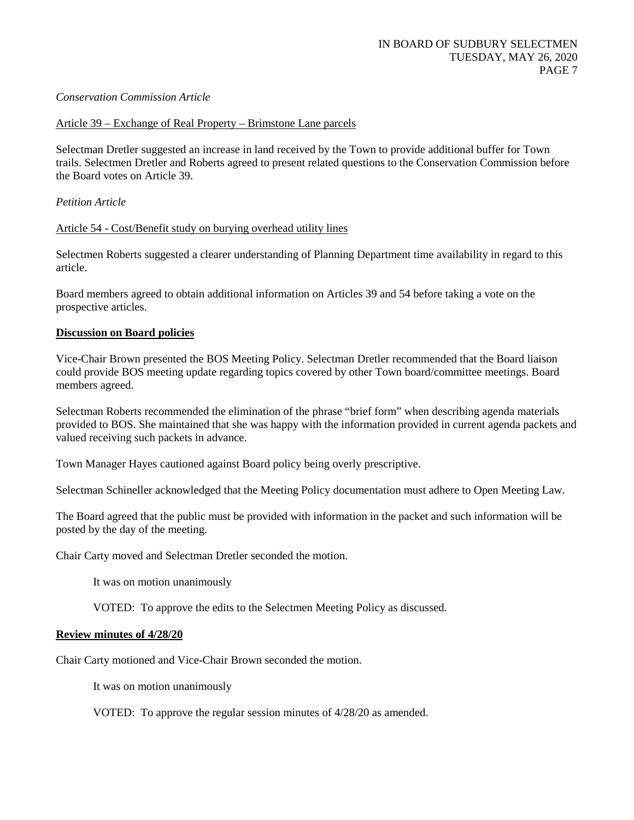## *Conservation Commission Article*

#### Article 39 – Exchange of Real Property – Brimstone Lane parcels

Selectman Dretler suggested an increase in land received by the Town to provide additional buffer for Town trails. Selectmen Dretler and Roberts agreed to present related questions to the Conservation Commission before the Board votes on Article 39.

## *Petition Article*

#### Article 54 - Cost/Benefit study on burying overhead utility lines

Selectmen Roberts suggested a clearer understanding of Planning Department time availability in regard to this article.

Board members agreed to obtain additional information on Articles 39 and 54 before taking a vote on the prospective articles.

#### **Discussion on Board policies**

Vice-Chair Brown presented the BOS Meeting Policy. Selectman Dretler recommended that the Board liaison could provide BOS meeting update regarding topics covered by other Town board/committee meetings. Board members agreed.

Selectman Roberts recommended the elimination of the phrase "brief form" when describing agenda materials provided to BOS. She maintained that she was happy with the information provided in current agenda packets and valued receiving such packets in advance.

Town Manager Hayes cautioned against Board policy being overly prescriptive.

Selectman Schineller acknowledged that the Meeting Policy documentation must adhere to Open Meeting Law.

The Board agreed that the public must be provided with information in the packet and such information will be posted by the day of the meeting.

Chair Carty moved and Selectman Dretler seconded the motion.

It was on motion unanimously

VOTED: To approve the edits to the Selectmen Meeting Policy as discussed.

#### **Review minutes of 4/28/20**

Chair Carty motioned and Vice-Chair Brown seconded the motion.

It was on motion unanimously

VOTED: To approve the regular session minutes of 4/28/20 as amended.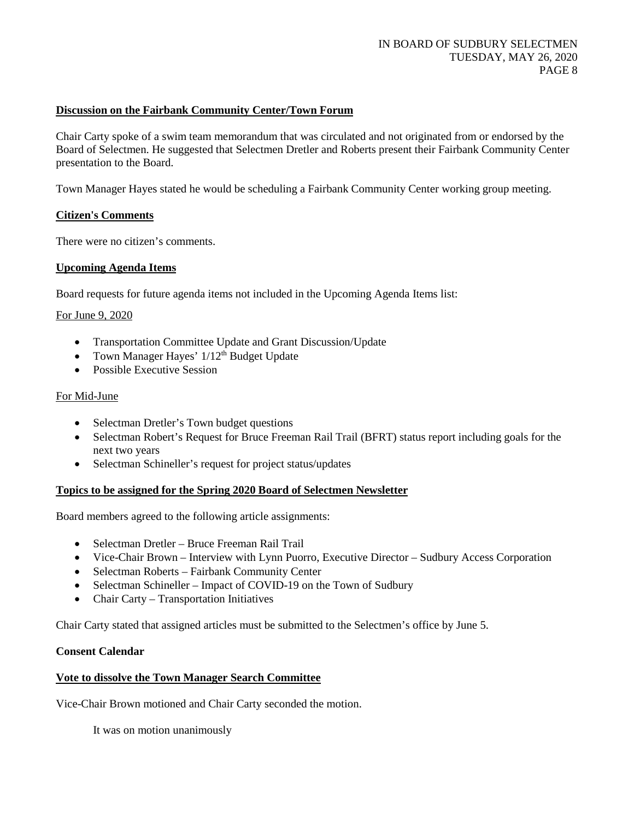## **Discussion on the Fairbank Community Center/Town Forum**

Chair Carty spoke of a swim team memorandum that was circulated and not originated from or endorsed by the Board of Selectmen. He suggested that Selectmen Dretler and Roberts present their Fairbank Community Center presentation to the Board.

Town Manager Hayes stated he would be scheduling a Fairbank Community Center working group meeting.

## **Citizen's Comments**

There were no citizen's comments.

## **Upcoming Agenda Items**

Board requests for future agenda items not included in the Upcoming Agenda Items list:

#### For June 9, 2020

- Transportation Committee Update and Grant Discussion/Update
- Town Manager Hayes'  $1/12<sup>th</sup>$  Budget Update
- Possible Executive Session

#### For Mid-June

- Selectman Dretler's Town budget questions
- Selectman Robert's Request for Bruce Freeman Rail Trail (BFRT) status report including goals for the next two years
- Selectman Schineller's request for project status/updates

## **Topics to be assigned for the Spring 2020 Board of Selectmen Newsletter**

Board members agreed to the following article assignments:

- Selectman Dretler Bruce Freeman Rail Trail
- Vice-Chair Brown Interview with Lynn Puorro, Executive Director Sudbury Access Corporation
- Selectman Roberts Fairbank Community Center
- Selectman Schineller Impact of COVID-19 on the Town of Sudbury
- Chair Carty Transportation Initiatives

Chair Carty stated that assigned articles must be submitted to the Selectmen's office by June 5.

#### **Consent Calendar**

## **Vote to dissolve the Town Manager Search Committee**

Vice-Chair Brown motioned and Chair Carty seconded the motion.

It was on motion unanimously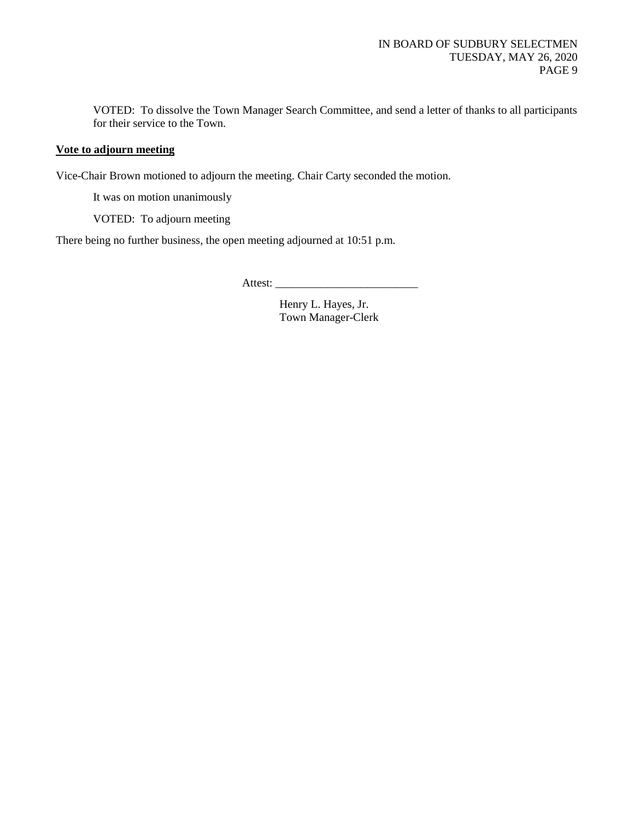VOTED: To dissolve the Town Manager Search Committee, and send a letter of thanks to all participants for their service to the Town.

# **Vote to adjourn meeting**

Vice-Chair Brown motioned to adjourn the meeting. Chair Carty seconded the motion.

It was on motion unanimously

VOTED: To adjourn meeting

There being no further business, the open meeting adjourned at 10:51 p.m.

Attest: \_\_\_\_\_\_\_\_\_\_\_\_\_\_\_\_\_\_\_\_\_\_\_\_\_

Henry L. Hayes, Jr. Town Manager-Clerk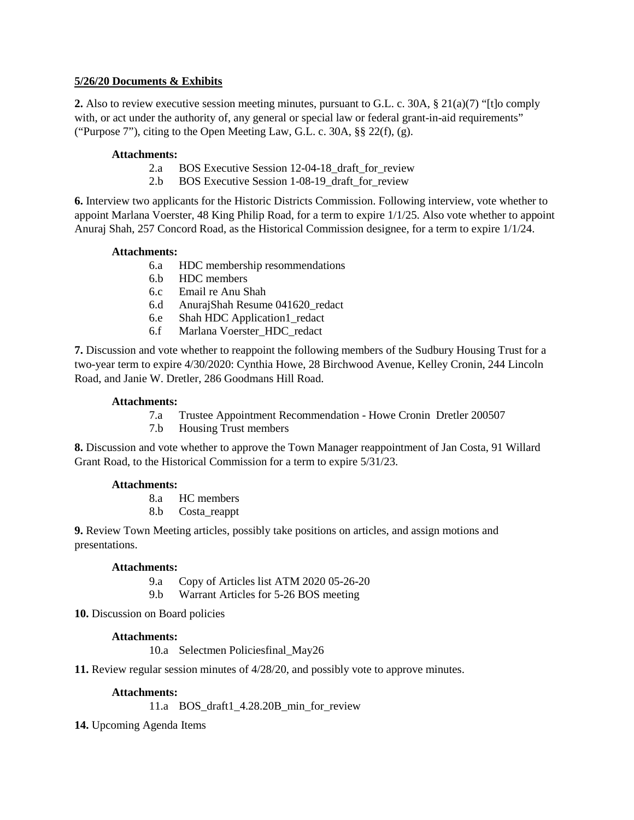# **5/26/20 Documents & Exhibits**

**2.** Also to review executive session meeting minutes, pursuant to G.L. c. 30A, § 21(a)(7) "[t]o comply with, or act under the authority of, any general or special law or federal grant-in-aid requirements" ("Purpose 7"), citing to the Open Meeting Law, G.L. c. 30A, §§ 22(f), (g).

# **Attachments:**

- 2.a BOS Executive Session 12-04-18\_draft\_for\_review
- 2.b BOS Executive Session 1-08-19\_draft\_for\_review

**6.** Interview two applicants for the Historic Districts Commission. Following interview, vote whether to appoint Marlana Voerster, 48 King Philip Road, for a term to expire 1/1/25. Also vote whether to appoint Anuraj Shah, 257 Concord Road, as the Historical Commission designee, for a term to expire 1/1/24.

# **Attachments:**

- 6.a HDC membership resommendations
- 6.b HDC members
- 6.c Email re Anu Shah
- 6.d AnurajShah Resume 041620\_redact
- 6.e Shah HDC Application1\_redact
- 6.f Marlana Voerster\_HDC\_redact

**7.** Discussion and vote whether to reappoint the following members of the Sudbury Housing Trust for a two-year term to expire 4/30/2020: Cynthia Howe, 28 Birchwood Avenue, Kelley Cronin, 244 Lincoln Road, and Janie W. Dretler, 286 Goodmans Hill Road.

## **Attachments:**

- 7.a Trustee Appointment Recommendation Howe Cronin Dretler 200507
- 7.b Housing Trust members

**8.** Discussion and vote whether to approve the Town Manager reappointment of Jan Costa, 91 Willard Grant Road, to the Historical Commission for a term to expire 5/31/23.

# **Attachments:**

8.a HC members

8.b Costa\_reappt

**9.** Review Town Meeting articles, possibly take positions on articles, and assign motions and presentations.

## **Attachments:**

- 9.a Copy of Articles list ATM 2020 05-26-20
- 9.b Warrant Articles for 5-26 BOS meeting

**10.** Discussion on Board policies

## **Attachments:**

10.a Selectmen Policiesfinal\_May26

**11.** Review regular session minutes of 4/28/20, and possibly vote to approve minutes.

## **Attachments:**

11.a BOS\_draft1\_4.28.20B\_min\_for\_review

**14.** Upcoming Agenda Items